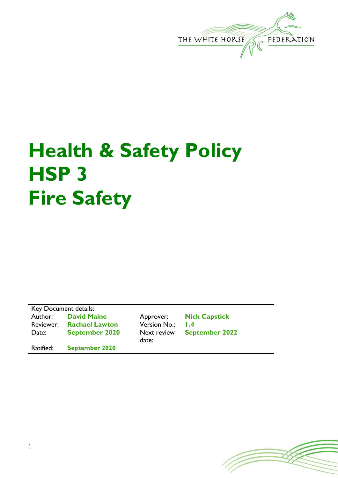

## **Health & Safety Policy HSP 3 Fire Safety**

Key Document details: Author: **David Maine** Approver: **Nick Capstick** Reviewer: **Rachael Lawton** Version No.: **1.4** Date: **September 2020** Next review

Ratified: **September 2020**

date:

**September 2022**

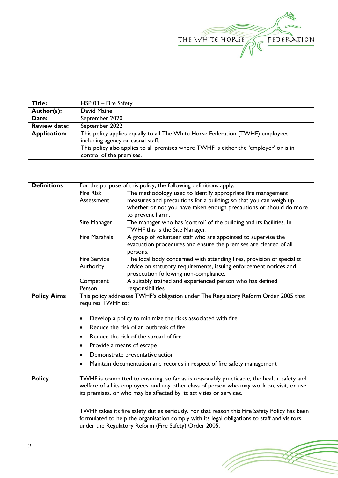

| Title:              | $HSP 03 - Fire Safety$                                                                                                                                                                                                                   |  |  |
|---------------------|------------------------------------------------------------------------------------------------------------------------------------------------------------------------------------------------------------------------------------------|--|--|
| Author(s):          | David Maine                                                                                                                                                                                                                              |  |  |
| Date:               | September 2020                                                                                                                                                                                                                           |  |  |
| <b>Review date:</b> | September 2022                                                                                                                                                                                                                           |  |  |
| <b>Application:</b> | This policy applies equally to all The White Horse Federation (TWHF) employees<br>including agency or casual staff.<br>This policy also applies to all premises where TWHF is either the 'employer' or is in<br>control of the premises. |  |  |

| <b>Definitions</b> | For the purpose of this policy, the following definitions apply;                                                                                                                      |                                                                                            |  |  |  |
|--------------------|---------------------------------------------------------------------------------------------------------------------------------------------------------------------------------------|--------------------------------------------------------------------------------------------|--|--|--|
|                    | <b>Fire Risk</b>                                                                                                                                                                      | The methodology used to identify appropriate fire management                               |  |  |  |
|                    | Assessment                                                                                                                                                                            | measures and precautions for a building; so that you can weigh up                          |  |  |  |
|                    |                                                                                                                                                                                       | whether or not you have taken enough precautions or should do more                         |  |  |  |
|                    |                                                                                                                                                                                       | to prevent harm.                                                                           |  |  |  |
|                    | <b>Site Manager</b>                                                                                                                                                                   | The manager who has 'control' of the building and its facilities. In                       |  |  |  |
|                    |                                                                                                                                                                                       | TWHF this is the Site Manager.                                                             |  |  |  |
|                    | <b>Fire Marshals</b>                                                                                                                                                                  | A group of volunteer staff who are appointed to supervise the                              |  |  |  |
|                    |                                                                                                                                                                                       | evacuation procedures and ensure the premises are cleared of all                           |  |  |  |
|                    |                                                                                                                                                                                       | persons.                                                                                   |  |  |  |
|                    | <b>Fire Service</b>                                                                                                                                                                   | The local body concerned with attending fires, provision of specialist                     |  |  |  |
|                    | Authority                                                                                                                                                                             | advice on statutory requirements, issuing enforcement notices and                          |  |  |  |
|                    |                                                                                                                                                                                       | prosecution following non-compliance.                                                      |  |  |  |
|                    | Competent                                                                                                                                                                             | A suitably trained and experienced person who has defined                                  |  |  |  |
|                    | Person                                                                                                                                                                                | responsibilities.                                                                          |  |  |  |
| <b>Policy Aims</b> |                                                                                                                                                                                       | This policy addresses TWHF's obligation under The Regulatory Reform Order 2005 that        |  |  |  |
|                    | requires TWHF to:                                                                                                                                                                     |                                                                                            |  |  |  |
|                    |                                                                                                                                                                                       |                                                                                            |  |  |  |
|                    | Develop a policy to minimize the risks associated with fire<br>$\bullet$<br>Reduce the risk of an outbreak of fire<br>$\bullet$<br>Reduce the risk of the spread of fire<br>$\bullet$ |                                                                                            |  |  |  |
|                    |                                                                                                                                                                                       |                                                                                            |  |  |  |
|                    |                                                                                                                                                                                       |                                                                                            |  |  |  |
|                    | Provide a means of escape<br>$\bullet$                                                                                                                                                |                                                                                            |  |  |  |
|                    | Demonstrate preventative action<br>$\bullet$                                                                                                                                          |                                                                                            |  |  |  |
|                    | Maintain documentation and records in respect of fire safety management<br>$\bullet$                                                                                                  |                                                                                            |  |  |  |
|                    |                                                                                                                                                                                       |                                                                                            |  |  |  |
| <b>Policy</b>      | TWHF is committed to ensuring, so far as is reasonably practicable, the health, safety and                                                                                            |                                                                                            |  |  |  |
|                    |                                                                                                                                                                                       | welfare of all its employees, and any other class of person who may work on, visit, or use |  |  |  |
|                    | its premises, or who may be affected by its activities or services.                                                                                                                   |                                                                                            |  |  |  |
|                    |                                                                                                                                                                                       |                                                                                            |  |  |  |
|                    | TWHF takes its fire safety duties seriously. For that reason this Fire Safety Policy has been                                                                                         |                                                                                            |  |  |  |
|                    | formulated to help the organisation comply with its legal obligations to staff and visitors                                                                                           |                                                                                            |  |  |  |
|                    | under the Regulatory Reform (Fire Safety) Order 2005.                                                                                                                                 |                                                                                            |  |  |  |
|                    |                                                                                                                                                                                       |                                                                                            |  |  |  |

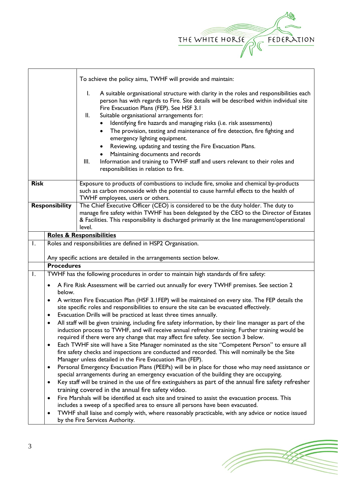

|                       |                                                                                                                                                                                                                                                                                         | To achieve the policy aims, TWHF will provide and maintain:                                                                                                                                                                                                                                                                                                                                                                                                                                                                                                                                                                                                                                                       |  |  |
|-----------------------|-----------------------------------------------------------------------------------------------------------------------------------------------------------------------------------------------------------------------------------------------------------------------------------------|-------------------------------------------------------------------------------------------------------------------------------------------------------------------------------------------------------------------------------------------------------------------------------------------------------------------------------------------------------------------------------------------------------------------------------------------------------------------------------------------------------------------------------------------------------------------------------------------------------------------------------------------------------------------------------------------------------------------|--|--|
|                       |                                                                                                                                                                                                                                                                                         | A suitable organisational structure with clarity in the roles and responsibilities each<br>I.<br>person has with regards to Fire. Site details will be described within individual site<br>Fire Evacuation Plans (FEP). See HSF 3.1<br>Suitable organisational arrangements for:<br>Ш.<br>Identifying fire hazards and managing risks (i.e. risk assessments)<br>The provision, testing and maintenance of fire detection, fire fighting and<br>emergency lighting equipment.<br>Reviewing, updating and testing the Fire Evacuation Plans.<br>Maintaining documents and records<br>Information and training to TWHF staff and users relevant to their roles and<br>III.<br>responsibilities in relation to fire. |  |  |
| <b>Risk</b>           |                                                                                                                                                                                                                                                                                         | Exposure to products of combustions to include fire, smoke and chemical by-products<br>such as carbon monoxide with the potential to cause harmful effects to the health of<br>TWHF employees, users or others.                                                                                                                                                                                                                                                                                                                                                                                                                                                                                                   |  |  |
| <b>Responsibility</b> | The Chief Executive Officer (CEO) is considered to be the duty holder. The duty to<br>manage fire safety within TWHF has been delegated by the CEO to the Director of Estates<br>& Facilities. This responsibility is discharged primarily at the line management/operational<br>level. |                                                                                                                                                                                                                                                                                                                                                                                                                                                                                                                                                                                                                                                                                                                   |  |  |
|                       |                                                                                                                                                                                                                                                                                         | <b>Roles &amp; Responsibilities</b>                                                                                                                                                                                                                                                                                                                                                                                                                                                                                                                                                                                                                                                                               |  |  |
| $\mathsf{I}$ .        |                                                                                                                                                                                                                                                                                         | Roles and responsibilities are defined in HSP2 Organisation.                                                                                                                                                                                                                                                                                                                                                                                                                                                                                                                                                                                                                                                      |  |  |
|                       |                                                                                                                                                                                                                                                                                         |                                                                                                                                                                                                                                                                                                                                                                                                                                                                                                                                                                                                                                                                                                                   |  |  |
|                       | Any specific actions are detailed in the arrangements section below.                                                                                                                                                                                                                    |                                                                                                                                                                                                                                                                                                                                                                                                                                                                                                                                                                                                                                                                                                                   |  |  |
|                       |                                                                                                                                                                                                                                                                                         |                                                                                                                                                                                                                                                                                                                                                                                                                                                                                                                                                                                                                                                                                                                   |  |  |
|                       | <b>Procedures</b>                                                                                                                                                                                                                                                                       |                                                                                                                                                                                                                                                                                                                                                                                                                                                                                                                                                                                                                                                                                                                   |  |  |
| Ι.                    |                                                                                                                                                                                                                                                                                         | TWHF has the following procedures in order to maintain high standards of fire safety:                                                                                                                                                                                                                                                                                                                                                                                                                                                                                                                                                                                                                             |  |  |
|                       | ٠<br>below.                                                                                                                                                                                                                                                                             | A Fire Risk Assessment will be carried out annually for every TWHF premises. See section 2                                                                                                                                                                                                                                                                                                                                                                                                                                                                                                                                                                                                                        |  |  |
|                       | $\bullet$                                                                                                                                                                                                                                                                               | A written Fire Evacuation Plan (HSF 3.1FEP) will be maintained on every site. The FEP details the                                                                                                                                                                                                                                                                                                                                                                                                                                                                                                                                                                                                                 |  |  |
|                       |                                                                                                                                                                                                                                                                                         | site specific roles and responsibilities to ensure the site can be evacuated effectively.                                                                                                                                                                                                                                                                                                                                                                                                                                                                                                                                                                                                                         |  |  |
|                       | ٠                                                                                                                                                                                                                                                                                       | Evacuation Drills will be practiced at least three times annually.                                                                                                                                                                                                                                                                                                                                                                                                                                                                                                                                                                                                                                                |  |  |
|                       |                                                                                                                                                                                                                                                                                         | All staff will be given training, including fire safety information, by their line manager as part of the                                                                                                                                                                                                                                                                                                                                                                                                                                                                                                                                                                                                         |  |  |
|                       |                                                                                                                                                                                                                                                                                         | induction process to TWHF, and will receive annual refresher training. Further training would be                                                                                                                                                                                                                                                                                                                                                                                                                                                                                                                                                                                                                  |  |  |
|                       | $\bullet$                                                                                                                                                                                                                                                                               | required if there were any change that may affect fire safety. See section 3 below.<br>Each TWHF site will have a Site Manager nominated as the site "Competent Person" to ensure all                                                                                                                                                                                                                                                                                                                                                                                                                                                                                                                             |  |  |
|                       |                                                                                                                                                                                                                                                                                         | fire safety checks and inspections are conducted and recorded. This will nominally be the Site                                                                                                                                                                                                                                                                                                                                                                                                                                                                                                                                                                                                                    |  |  |
|                       |                                                                                                                                                                                                                                                                                         | Manager unless detailed in the Fire Evacuation Plan (FEP).                                                                                                                                                                                                                                                                                                                                                                                                                                                                                                                                                                                                                                                        |  |  |
|                       | $\bullet$                                                                                                                                                                                                                                                                               | Personal Emergency Evacuation Plans (PEEPs) will be in place for those who may need assistance or                                                                                                                                                                                                                                                                                                                                                                                                                                                                                                                                                                                                                 |  |  |
|                       |                                                                                                                                                                                                                                                                                         | special arrangements during an emergency evacuation of the building they are occupying.                                                                                                                                                                                                                                                                                                                                                                                                                                                                                                                                                                                                                           |  |  |
|                       | $\bullet$                                                                                                                                                                                                                                                                               | Key staff will be trained in the use of fire extinguishers as part of the annual fire safety refresher                                                                                                                                                                                                                                                                                                                                                                                                                                                                                                                                                                                                            |  |  |
|                       | $\bullet$                                                                                                                                                                                                                                                                               | training covered in the annual fire safety video.                                                                                                                                                                                                                                                                                                                                                                                                                                                                                                                                                                                                                                                                 |  |  |
|                       |                                                                                                                                                                                                                                                                                         | Fire Marshals will be identified at each site and trained to assist the evacuation process. This<br>includes a sweep of a specified area to ensure all persons have been evacuated.                                                                                                                                                                                                                                                                                                                                                                                                                                                                                                                               |  |  |
|                       | $\bullet$                                                                                                                                                                                                                                                                               | TWHF shall liaise and comply with, where reasonably practicable, with any advice or notice issued                                                                                                                                                                                                                                                                                                                                                                                                                                                                                                                                                                                                                 |  |  |
|                       |                                                                                                                                                                                                                                                                                         | by the Fire Services Authority.                                                                                                                                                                                                                                                                                                                                                                                                                                                                                                                                                                                                                                                                                   |  |  |

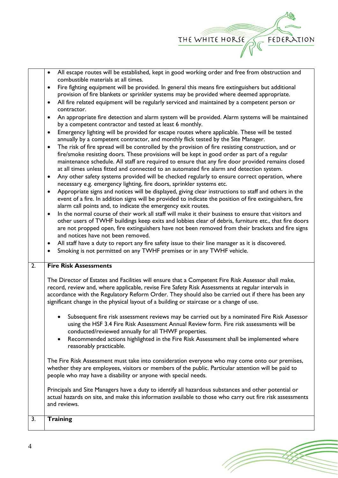

|                  | All escape routes will be established, kept in good working order and free from obstruction and                                                                                                                                                                                                                                                                                                                                                                                                                          |
|------------------|--------------------------------------------------------------------------------------------------------------------------------------------------------------------------------------------------------------------------------------------------------------------------------------------------------------------------------------------------------------------------------------------------------------------------------------------------------------------------------------------------------------------------|
|                  | combustible materials at all times.                                                                                                                                                                                                                                                                                                                                                                                                                                                                                      |
|                  | Fire fighting equipment will be provided. In general this means fire extinguishers but additional<br>٠<br>provision of fire blankets or sprinkler systems may be provided where deemed appropriate.                                                                                                                                                                                                                                                                                                                      |
|                  | All fire related equipment will be regularly serviced and maintained by a competent person or<br>$\bullet$                                                                                                                                                                                                                                                                                                                                                                                                               |
|                  | contractor.                                                                                                                                                                                                                                                                                                                                                                                                                                                                                                              |
|                  | An appropriate fire detection and alarm system will be provided. Alarm systems will be maintained<br>by a competent contractor and tested at least 6 monthly.                                                                                                                                                                                                                                                                                                                                                            |
|                  | Emergency lighting will be provided for escape routes where applicable. These will be tested<br>$\bullet$<br>annually by a competent contractor, and monthly flick tested by the Site Manager.                                                                                                                                                                                                                                                                                                                           |
|                  | The risk of fire spread will be controlled by the provision of fire resisting construction, and or<br>$\bullet$<br>fire/smoke resisting doors. These provisions will be kept in good order as part of a regular<br>maintenance schedule. All staff are required to ensure that any fire door provided remains closed<br>at all times unless fitted and connected to an automated fire alarm and detection system.<br>Any other safety systems provided will be checked regularly to ensure correct operation, where<br>٠ |
|                  | necessary e.g. emergency lighting, fire doors, sprinkler systems etc.                                                                                                                                                                                                                                                                                                                                                                                                                                                    |
|                  | Appropriate signs and notices will be displayed, giving clear instructions to staff and others in the<br>$\bullet$<br>event of a fire. In addition signs will be provided to indicate the position of fire extinguishers, fire<br>alarm call points and, to indicate the emergency exit routes.                                                                                                                                                                                                                          |
|                  | In the normal course of their work all staff will make it their business to ensure that visitors and<br>$\bullet$<br>other users of TWHF buildings keep exits and lobbies clear of debris, furniture etc., that fire doors<br>are not propped open, fire extinguishers have not been removed from their brackets and fire signs<br>and notices have not been removed.                                                                                                                                                    |
|                  | All staff have a duty to report any fire safety issue to their line manager as it is discovered.                                                                                                                                                                                                                                                                                                                                                                                                                         |
|                  |                                                                                                                                                                                                                                                                                                                                                                                                                                                                                                                          |
|                  | Smoking is not permitted on any TWHF premises or in any TWHF vehicle.                                                                                                                                                                                                                                                                                                                                                                                                                                                    |
|                  |                                                                                                                                                                                                                                                                                                                                                                                                                                                                                                                          |
| $\overline{2}$ . | <b>Fire Risk Assessments</b>                                                                                                                                                                                                                                                                                                                                                                                                                                                                                             |
|                  | The Director of Estates and Facilities will ensure that a Competent Fire Risk Assessor shall make,<br>record, review and, where applicable, revise Fire Safety Risk Assessments at regular intervals in<br>accordance with the Regulatory Reform Order. They should also be carried out if there has been any<br>significant change in the physical layout of a building or staircase or a change of use.                                                                                                                |
|                  | Subsequent fire risk assessment reviews may be carried out by a nominated Fire Risk Assessor<br>using the HSF 3.4 Fire Risk Assessment Annual Review form. Fire risk assessments will be<br>conducted/reviewed annually for all THWF properties.                                                                                                                                                                                                                                                                         |
|                  | Recommended actions highlighted in the Fire Risk Assessment shall be implemented where<br>$\bullet$<br>reasonably practicable.                                                                                                                                                                                                                                                                                                                                                                                           |
|                  | The Fire Risk Assessment must take into consideration everyone who may come onto our premises,<br>whether they are employees, visitors or members of the public. Particular attention will be paid to<br>people who may have a disability or anyone with special needs.                                                                                                                                                                                                                                                  |
|                  | Principals and Site Managers have a duty to identify all hazardous substances and other potential or<br>actual hazards on site, and make this information available to those who carry out fire risk assessments<br>and reviews.                                                                                                                                                                                                                                                                                         |
| 3.               | <b>Training</b>                                                                                                                                                                                                                                                                                                                                                                                                                                                                                                          |

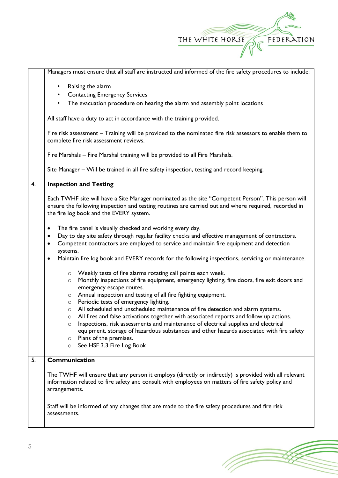